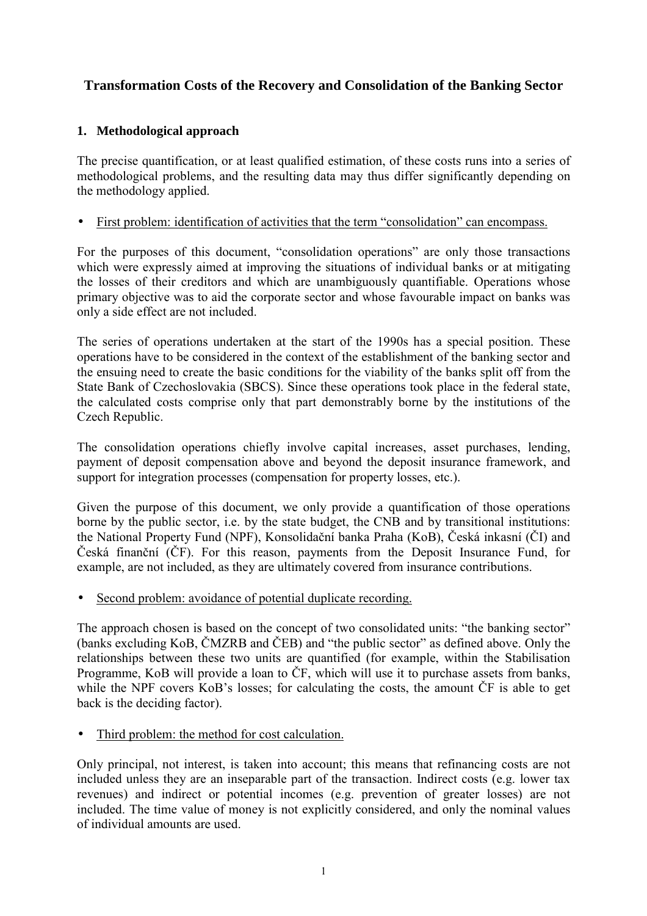# **Transformation Costs of the Recovery and Consolidation of the Banking Sector**

## **1. Methodological approach**

The precise quantification, or at least qualified estimation, of these costs runs into a series of methodological problems, and the resulting data may thus differ significantly depending on the methodology applied.

### • First problem: identification of activities that the term "consolidation" can encompass.

For the purposes of this document, "consolidation operations" are only those transactions which were expressly aimed at improving the situations of individual banks or at mitigating the losses of their creditors and which are unambiguously quantifiable. Operations whose primary objective was to aid the corporate sector and whose favourable impact on banks was only a side effect are not included.

The series of operations undertaken at the start of the 1990s has a special position. These operations have to be considered in the context of the establishment of the banking sector and the ensuing need to create the basic conditions for the viability of the banks split off from the State Bank of Czechoslovakia (SBCS). Since these operations took place in the federal state, the calculated costs comprise only that part demonstrably borne by the institutions of the Czech Republic.

The consolidation operations chiefly involve capital increases, asset purchases, lending, payment of deposit compensation above and beyond the deposit insurance framework, and support for integration processes (compensation for property losses, etc.).

Given the purpose of this document, we only provide a quantification of those operations borne by the public sector, i.e. by the state budget, the CNB and by transitional institutions: the National Property Fund (NPF), Konsolidační banka Praha (KoB), Česká inkasní (ČI) and Česká finanční (ČF). For this reason, payments from the Deposit Insurance Fund, for example, are not included, as they are ultimately covered from insurance contributions.

Second problem: avoidance of potential duplicate recording.

The approach chosen is based on the concept of two consolidated units: "the banking sector" (banks excluding KoB, ČMZRB and ČEB) and "the public sector" as defined above. Only the relationships between these two units are quantified (for example, within the Stabilisation Programme, KoB will provide a loan to ČF, which will use it to purchase assets from banks, while the NPF covers KoB's losses; for calculating the costs, the amount  $\check{C}F$  is able to get back is the deciding factor).

Third problem: the method for cost calculation.

Only principal, not interest, is taken into account; this means that refinancing costs are not included unless they are an inseparable part of the transaction. Indirect costs (e.g. lower tax revenues) and indirect or potential incomes (e.g. prevention of greater losses) are not included. The time value of money is not explicitly considered, and only the nominal values of individual amounts are used.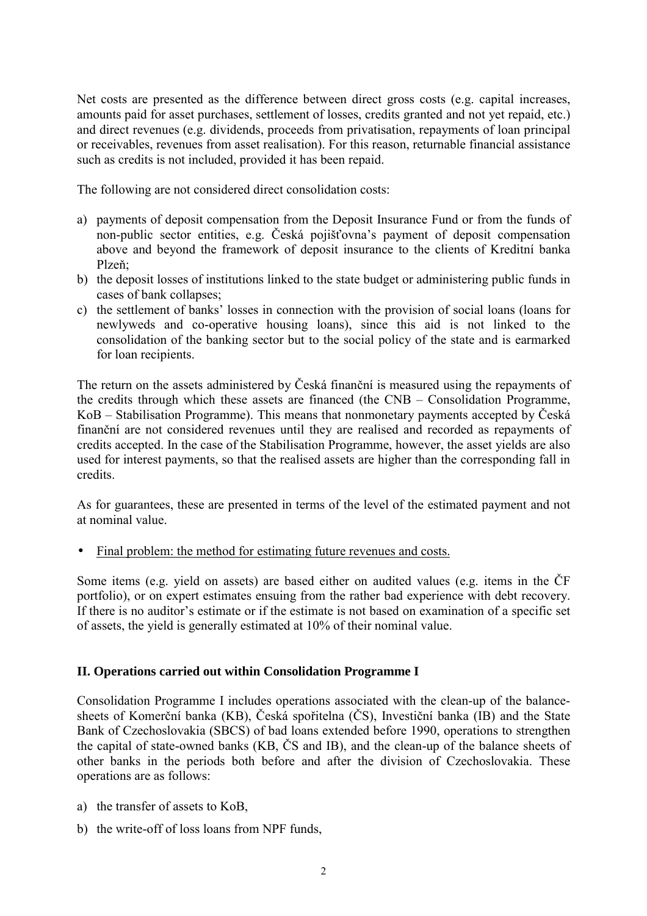Net costs are presented as the difference between direct gross costs (e.g. capital increases, amounts paid for asset purchases, settlement of losses, credits granted and not yet repaid, etc.) and direct revenues (e.g. dividends, proceeds from privatisation, repayments of loan principal or receivables, revenues from asset realisation). For this reason, returnable financial assistance such as credits is not included, provided it has been repaid.

The following are not considered direct consolidation costs:

- a) payments of deposit compensation from the Deposit Insurance Fund or from the funds of non-public sector entities, e.g. Česká pojišťovna's payment of deposit compensation above and beyond the framework of deposit insurance to the clients of Kreditní banka Plzeň;
- b) the deposit losses of institutions linked to the state budget or administering public funds in cases of bank collapses;
- c) the settlement of banks' losses in connection with the provision of social loans (loans for newlyweds and co-operative housing loans), since this aid is not linked to the consolidation of the banking sector but to the social policy of the state and is earmarked for loan recipients.

The return on the assets administered by Česká finanční is measured using the repayments of the credits through which these assets are financed (the CNB – Consolidation Programme, KoB – Stabilisation Programme). This means that nonmonetary payments accepted by Česká finanční are not considered revenues until they are realised and recorded as repayments of credits accepted. In the case of the Stabilisation Programme, however, the asset yields are also used for interest payments, so that the realised assets are higher than the corresponding fall in credits.

As for guarantees, these are presented in terms of the level of the estimated payment and not at nominal value.

• Final problem: the method for estimating future revenues and costs.

Some items (e.g. yield on assets) are based either on audited values (e.g. items in the ČF portfolio), or on expert estimates ensuing from the rather bad experience with debt recovery. If there is no auditor's estimate or if the estimate is not based on examination of a specific set of assets, the yield is generally estimated at 10% of their nominal value.

### **II. Operations carried out within Consolidation Programme I**

Consolidation Programme I includes operations associated with the clean-up of the balancesheets of Komerční banka (KB), Česká spořitelna (ČS), Investiční banka (IB) and the State Bank of Czechoslovakia (SBCS) of bad loans extended before 1990, operations to strengthen the capital of state-owned banks (KB, ČS and IB), and the clean-up of the balance sheets of other banks in the periods both before and after the division of Czechoslovakia. These operations are as follows:

- a) the transfer of assets to KoB,
- b) the write-off of loss loans from NPF funds,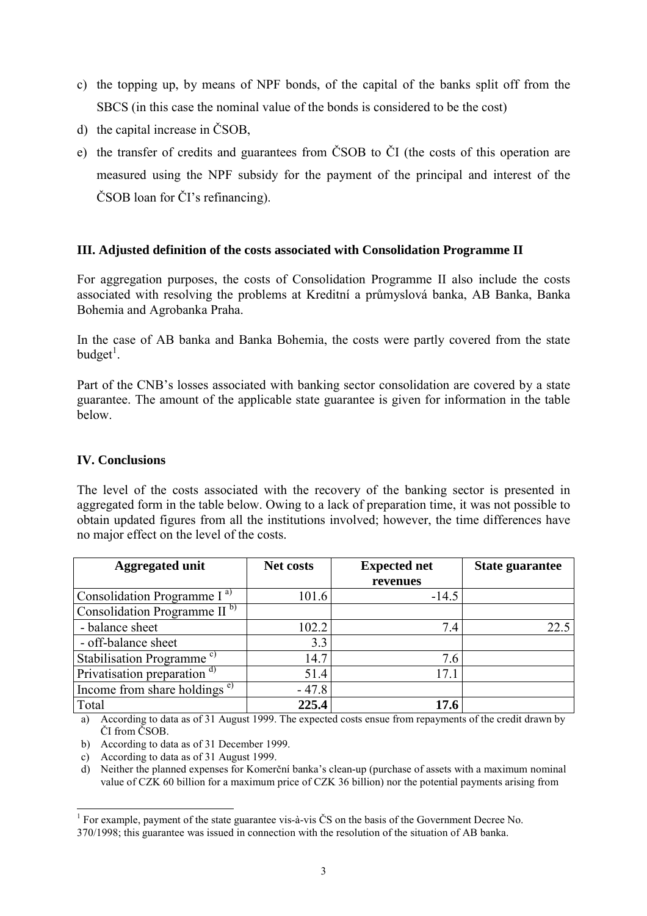- c) the topping up, by means of NPF bonds, of the capital of the banks split off from the SBCS (in this case the nominal value of the bonds is considered to be the cost)
- d) the capital increase in ČSOB,
- e) the transfer of credits and guarantees from ČSOB to ČI (the costs of this operation are measured using the NPF subsidy for the payment of the principal and interest of the ČSOB loan for ČI's refinancing).

### **III. Adjusted definition of the costs associated with Consolidation Programme II**

For aggregation purposes, the costs of Consolidation Programme II also include the costs associated with resolving the problems at Kreditní a průmyslová banka, AB Banka, Banka Bohemia and Agrobanka Praha.

In the case of AB banka and Banka Bohemia, the costs were partly covered from the state  $budget<sup>1</sup>$ .

Part of the CNB's losses associated with banking sector consolidation are covered by a state guarantee. The amount of the applicable state guarantee is given for information in the table below.

#### **IV. Conclusions**

The level of the costs associated with the recovery of the banking sector is presented in aggregated form in the table below. Owing to a lack of preparation time, it was not possible to obtain updated figures from all the institutions involved; however, the time differences have no major effect on the level of the costs.

| <b>Aggregated unit</b>                   | <b>Net costs</b> | <b>Expected net</b> | <b>State guarantee</b> |
|------------------------------------------|------------------|---------------------|------------------------|
|                                          |                  | revenues            |                        |
| Consolidation Programme I <sup>a)</sup>  | 101.6            | $-14.5$             |                        |
| Consolidation Programme II $b$           |                  |                     |                        |
| - balance sheet                          | 102.2            | 7.4                 | 22.5                   |
| - off-balance sheet                      | 3.3              |                     |                        |
| Stabilisation Programme <sup>c)</sup>    | 14.7             | 7.6                 |                        |
| Privatisation preparation <sup>d)</sup>  | 51.4             | 17.1                |                        |
| Income from share holdings <sup>e)</sup> | $-47.8$          |                     |                        |
| Total                                    | 225.4            | 17.6                |                        |

a) According to data as of 31 August 1999. The expected costs ensue from repayments of the credit drawn by ČI from ČSOB.

b) According to data as of 31 December 1999.

c) According to data as of 31 August 1999.

l

d) Neither the planned expenses for Komerční banka's clean-up (purchase of assets with a maximum nominal value of CZK 60 billion for a maximum price of CZK 36 billion) nor the potential payments arising from

<sup>&</sup>lt;sup>1</sup> For example, payment of the state guarantee vis-à-vis ČS on the basis of the Government Decree No. 370/1998; this guarantee was issued in connection with the resolution of the situation of AB banka.